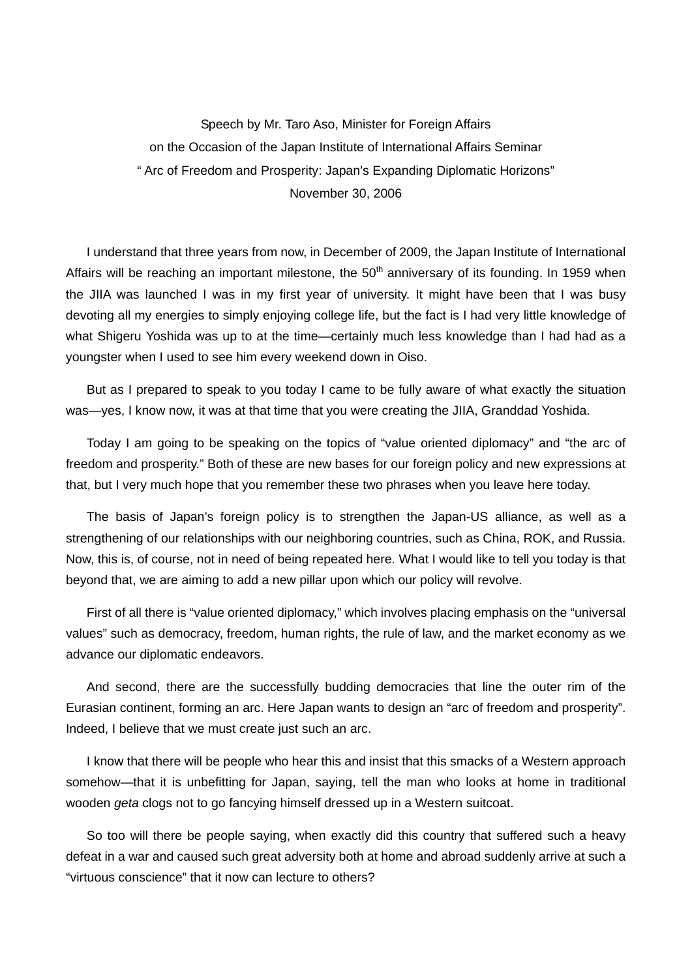Speech by Mr. Taro Aso, Minister for Foreign Affairs on the Occasion of the Japan Institute of International Affairs Seminar " Arc of Freedom and Prosperity: Japan's Expanding Diplomatic Horizons" November 30, 2006

I understand that three years from now, in December of 2009, the Japan Institute of International Affairs will be reaching an important milestone, the  $50<sup>th</sup>$  anniversary of its founding. In 1959 when the JIIA was launched I was in my first year of university. It might have been that I was busy devoting all my energies to simply enjoying college life, but the fact is I had very little knowledge of what Shigeru Yoshida was up to at the time—certainly much less knowledge than I had had as a youngster when I used to see him every weekend down in Oiso.

But as I prepared to speak to you today I came to be fully aware of what exactly the situation was—yes, I know now, it was at that time that you were creating the JIIA, Granddad Yoshida.

Today I am going to be speaking on the topics of "value oriented diplomacy" and "the arc of freedom and prosperity." Both of these are new bases for our foreign policy and new expressions at that, but I very much hope that you remember these two phrases when you leave here today.

The basis of Japan's foreign policy is to strengthen the Japan-US alliance, as well as a strengthening of our relationships with our neighboring countries, such as China, ROK, and Russia. Now, this is, of course, not in need of being repeated here. What I would like to tell you today is that beyond that, we are aiming to add a new pillar upon which our policy will revolve.

First of all there is "value oriented diplomacy," which involves placing emphasis on the "universal values" such as democracy, freedom, human rights, the rule of law, and the market economy as we advance our diplomatic endeavors.

And second, there are the successfully budding democracies that line the outer rim of the Eurasian continent, forming an arc. Here Japan wants to design an "arc of freedom and prosperity". Indeed, I believe that we must create just such an arc.

I know that there will be people who hear this and insist that this smacks of a Western approach somehow—that it is unbefitting for Japan, saying, tell the man who looks at home in traditional wooden *geta* clogs not to go fancying himself dressed up in a Western suitcoat.

So too will there be people saying, when exactly did this country that suffered such a heavy defeat in a war and caused such great adversity both at home and abroad suddenly arrive at such a "virtuous conscience" that it now can lecture to others?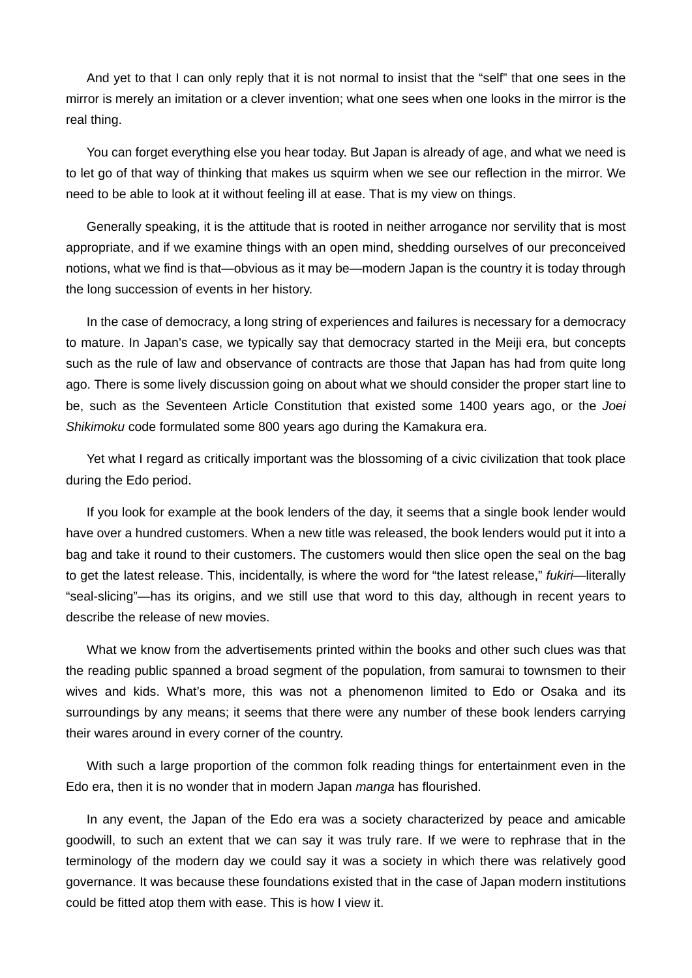And yet to that I can only reply that it is not normal to insist that the "self" that one sees in the mirror is merely an imitation or a clever invention; what one sees when one looks in the mirror is the real thing.

You can forget everything else you hear today. But Japan is already of age, and what we need is to let go of that way of thinking that makes us squirm when we see our reflection in the mirror. We need to be able to look at it without feeling ill at ease. That is my view on things.

Generally speaking, it is the attitude that is rooted in neither arrogance nor servility that is most appropriate, and if we examine things with an open mind, shedding ourselves of our preconceived notions, what we find is that—obvious as it may be—modern Japan is the country it is today through the long succession of events in her history.

In the case of democracy, a long string of experiences and failures is necessary for a democracy to mature. In Japan's case, we typically say that democracy started in the Meiji era, but concepts such as the rule of law and observance of contracts are those that Japan has had from quite long ago. There is some lively discussion going on about what we should consider the proper start line to be, such as the Seventeen Article Constitution that existed some 1400 years ago, or the *Joei Shikimoku* code formulated some 800 years ago during the Kamakura era.

Yet what I regard as critically important was the blossoming of a civic civilization that took place during the Edo period.

If you look for example at the book lenders of the day, it seems that a single book lender would have over a hundred customers. When a new title was released, the book lenders would put it into a bag and take it round to their customers. The customers would then slice open the seal on the bag to get the latest release. This, incidentally, is where the word for "the latest release," *fukiri*—literally "seal-slicing"—has its origins, and we still use that word to this day, although in recent years to describe the release of new movies.

What we know from the advertisements printed within the books and other such clues was that the reading public spanned a broad segment of the population, from samurai to townsmen to their wives and kids. What's more, this was not a phenomenon limited to Edo or Osaka and its surroundings by any means; it seems that there were any number of these book lenders carrying their wares around in every corner of the country.

With such a large proportion of the common folk reading things for entertainment even in the Edo era, then it is no wonder that in modern Japan *manga* has flourished.

In any event, the Japan of the Edo era was a society characterized by peace and amicable goodwill, to such an extent that we can say it was truly rare. If we were to rephrase that in the terminology of the modern day we could say it was a society in which there was relatively good governance. It was because these foundations existed that in the case of Japan modern institutions could be fitted atop them with ease. This is how I view it.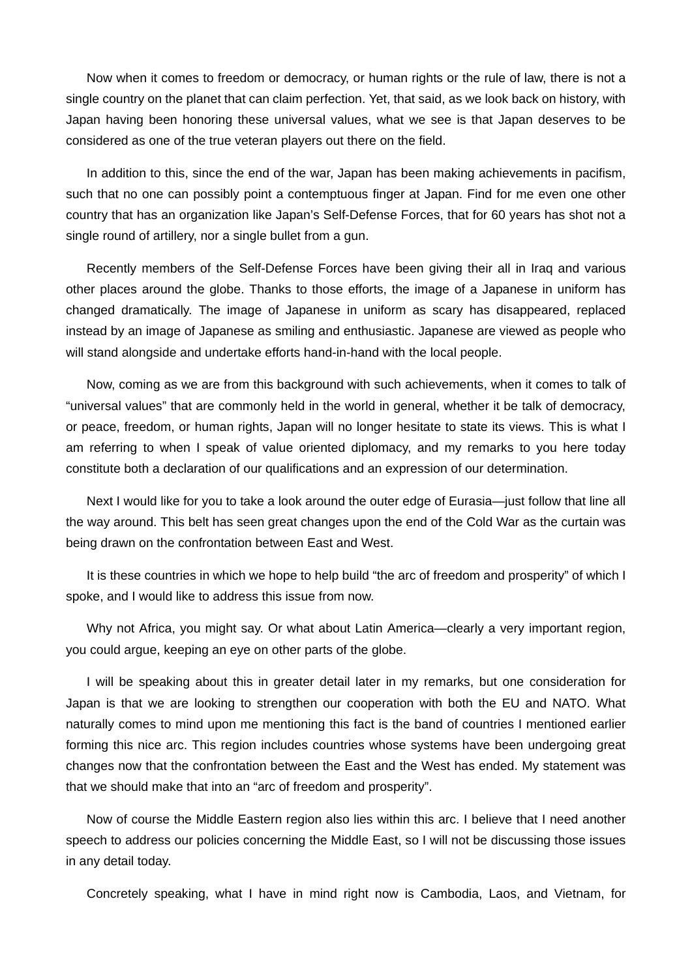Now when it comes to freedom or democracy, or human rights or the rule of law, there is not a single country on the planet that can claim perfection. Yet, that said, as we look back on history, with Japan having been honoring these universal values, what we see is that Japan deserves to be considered as one of the true veteran players out there on the field.

In addition to this, since the end of the war, Japan has been making achievements in pacifism, such that no one can possibly point a contemptuous finger at Japan. Find for me even one other country that has an organization like Japan's Self-Defense Forces, that for 60 years has shot not a single round of artillery, nor a single bullet from a gun.

Recently members of the Self-Defense Forces have been giving their all in Iraq and various other places around the globe. Thanks to those efforts, the image of a Japanese in uniform has changed dramatically. The image of Japanese in uniform as scary has disappeared, replaced instead by an image of Japanese as smiling and enthusiastic. Japanese are viewed as people who will stand alongside and undertake efforts hand-in-hand with the local people.

Now, coming as we are from this background with such achievements, when it comes to talk of "universal values" that are commonly held in the world in general, whether it be talk of democracy, or peace, freedom, or human rights, Japan will no longer hesitate to state its views. This is what I am referring to when I speak of value oriented diplomacy, and my remarks to you here today constitute both a declaration of our qualifications and an expression of our determination.

Next I would like for you to take a look around the outer edge of Eurasia—just follow that line all the way around. This belt has seen great changes upon the end of the Cold War as the curtain was being drawn on the confrontation between East and West.

It is these countries in which we hope to help build "the arc of freedom and prosperity" of which I spoke, and I would like to address this issue from now.

Why not Africa, you might say. Or what about Latin America—clearly a very important region, you could argue, keeping an eye on other parts of the globe.

I will be speaking about this in greater detail later in my remarks, but one consideration for Japan is that we are looking to strengthen our cooperation with both the EU and NATO. What naturally comes to mind upon me mentioning this fact is the band of countries I mentioned earlier forming this nice arc. This region includes countries whose systems have been undergoing great changes now that the confrontation between the East and the West has ended. My statement was that we should make that into an "arc of freedom and prosperity".

Now of course the Middle Eastern region also lies within this arc. I believe that I need another speech to address our policies concerning the Middle East, so I will not be discussing those issues in any detail today.

Concretely speaking, what I have in mind right now is Cambodia, Laos, and Vietnam, for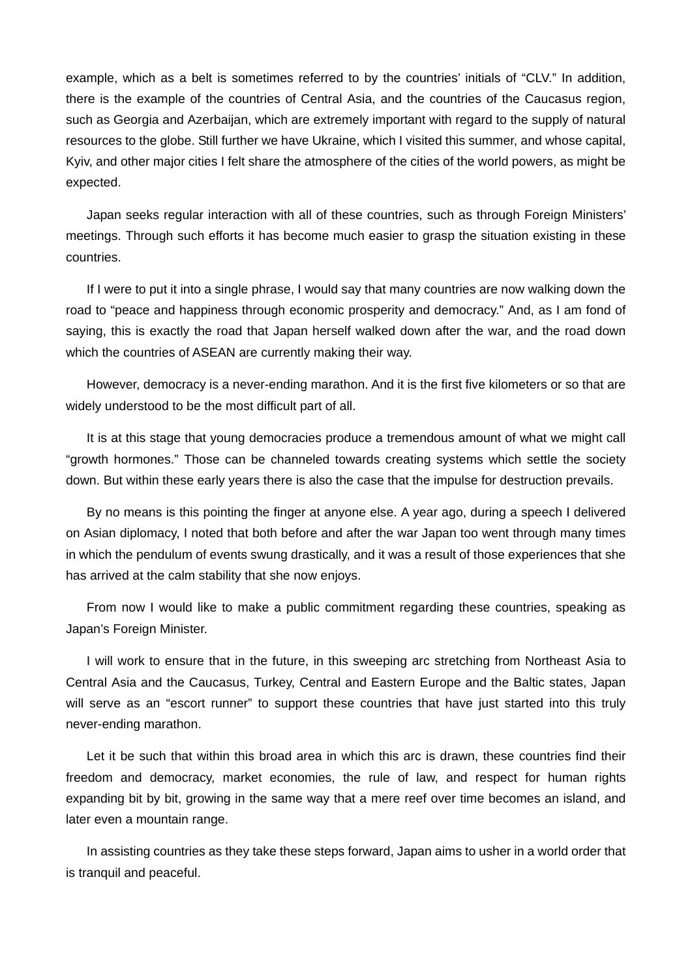example, which as a belt is sometimes referred to by the countries' initials of "CLV." In addition, there is the example of the countries of Central Asia, and the countries of the Caucasus region, such as Georgia and Azerbaijan, which are extremely important with regard to the supply of natural resources to the globe. Still further we have Ukraine, which I visited this summer, and whose capital, Kyiv, and other major cities I felt share the atmosphere of the cities of the world powers, as might be expected.

Japan seeks regular interaction with all of these countries, such as through Foreign Ministers' meetings. Through such efforts it has become much easier to grasp the situation existing in these countries.

If I were to put it into a single phrase, I would say that many countries are now walking down the road to "peace and happiness through economic prosperity and democracy." And, as I am fond of saying, this is exactly the road that Japan herself walked down after the war, and the road down which the countries of ASEAN are currently making their way.

However, democracy is a never-ending marathon. And it is the first five kilometers or so that are widely understood to be the most difficult part of all.

It is at this stage that young democracies produce a tremendous amount of what we might call "growth hormones." Those can be channeled towards creating systems which settle the society down. But within these early years there is also the case that the impulse for destruction prevails.

By no means is this pointing the finger at anyone else. A year ago, during a speech I delivered on Asian diplomacy, I noted that both before and after the war Japan too went through many times in which the pendulum of events swung drastically, and it was a result of those experiences that she has arrived at the calm stability that she now enjoys.

From now I would like to make a public commitment regarding these countries, speaking as Japan's Foreign Minister.

I will work to ensure that in the future, in this sweeping arc stretching from Northeast Asia to Central Asia and the Caucasus, Turkey, Central and Eastern Europe and the Baltic states, Japan will serve as an "escort runner" to support these countries that have just started into this truly never-ending marathon.

Let it be such that within this broad area in which this arc is drawn, these countries find their freedom and democracy, market economies, the rule of law, and respect for human rights expanding bit by bit, growing in the same way that a mere reef over time becomes an island, and later even a mountain range.

In assisting countries as they take these steps forward, Japan aims to usher in a world order that is tranquil and peaceful.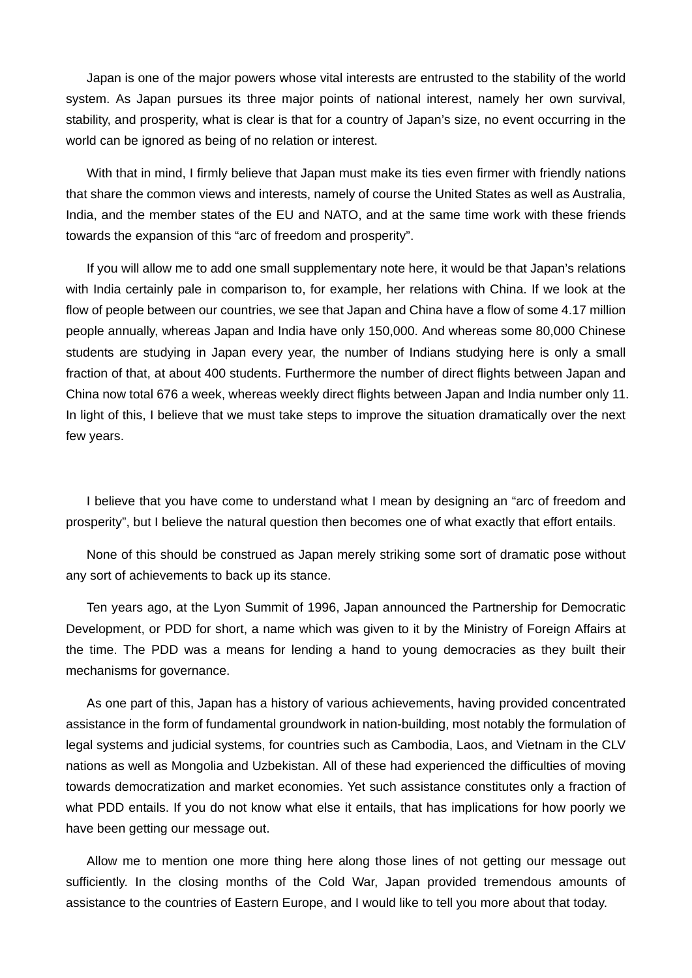Japan is one of the major powers whose vital interests are entrusted to the stability of the world system. As Japan pursues its three major points of national interest, namely her own survival, stability, and prosperity, what is clear is that for a country of Japan's size, no event occurring in the world can be ignored as being of no relation or interest.

With that in mind, I firmly believe that Japan must make its ties even firmer with friendly nations that share the common views and interests, namely of course the United States as well as Australia, India, and the member states of the EU and NATO, and at the same time work with these friends towards the expansion of this "arc of freedom and prosperity".

If you will allow me to add one small supplementary note here, it would be that Japan's relations with India certainly pale in comparison to, for example, her relations with China. If we look at the flow of people between our countries, we see that Japan and China have a flow of some 4.17 million people annually, whereas Japan and India have only 150,000. And whereas some 80,000 Chinese students are studying in Japan every year, the number of Indians studying here is only a small fraction of that, at about 400 students. Furthermore the number of direct flights between Japan and China now total 676 a week, whereas weekly direct flights between Japan and India number only 11. In light of this, I believe that we must take steps to improve the situation dramatically over the next few years.

I believe that you have come to understand what I mean by designing an "arc of freedom and prosperity", but I believe the natural question then becomes one of what exactly that effort entails.

None of this should be construed as Japan merely striking some sort of dramatic pose without any sort of achievements to back up its stance.

Ten years ago, at the Lyon Summit of 1996, Japan announced the Partnership for Democratic Development, or PDD for short, a name which was given to it by the Ministry of Foreign Affairs at the time. The PDD was a means for lending a hand to young democracies as they built their mechanisms for governance.

As one part of this, Japan has a history of various achievements, having provided concentrated assistance in the form of fundamental groundwork in nation-building, most notably the formulation of legal systems and judicial systems, for countries such as Cambodia, Laos, and Vietnam in the CLV nations as well as Mongolia and Uzbekistan. All of these had experienced the difficulties of moving towards democratization and market economies. Yet such assistance constitutes only a fraction of what PDD entails. If you do not know what else it entails, that has implications for how poorly we have been getting our message out.

Allow me to mention one more thing here along those lines of not getting our message out sufficiently. In the closing months of the Cold War, Japan provided tremendous amounts of assistance to the countries of Eastern Europe, and I would like to tell you more about that today.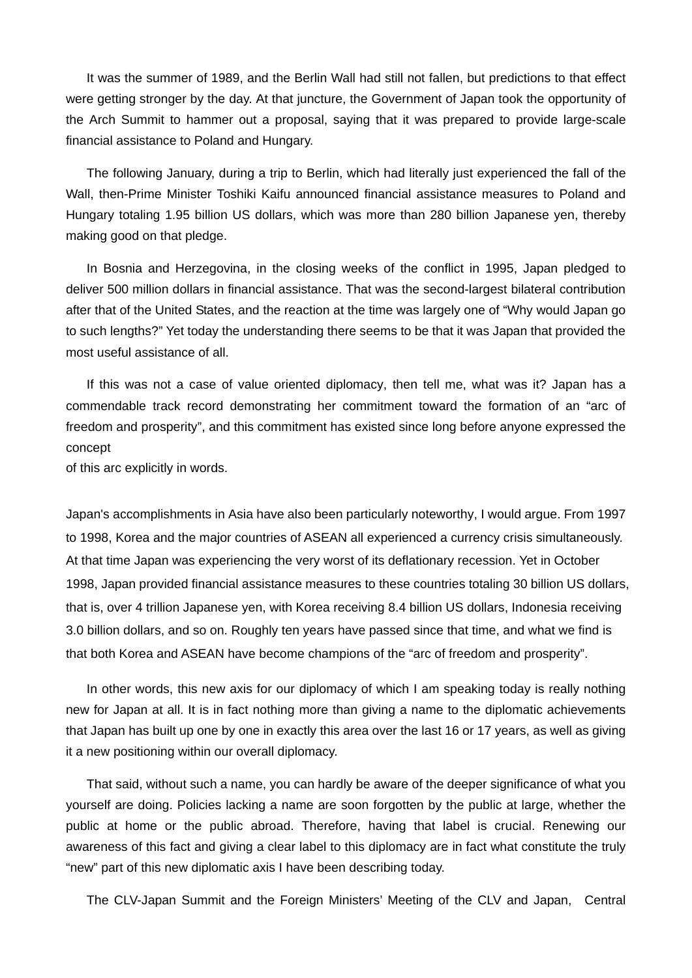It was the summer of 1989, and the Berlin Wall had still not fallen, but predictions to that effect were getting stronger by the day. At that juncture, the Government of Japan took the opportunity of the Arch Summit to hammer out a proposal, saying that it was prepared to provide large-scale financial assistance to Poland and Hungary.

The following January, during a trip to Berlin, which had literally just experienced the fall of the Wall, then-Prime Minister Toshiki Kaifu announced financial assistance measures to Poland and Hungary totaling 1.95 billion US dollars, which was more than 280 billion Japanese yen, thereby making good on that pledge.

In Bosnia and Herzegovina, in the closing weeks of the conflict in 1995, Japan pledged to deliver 500 million dollars in financial assistance. That was the second-largest bilateral contribution after that of the United States, and the reaction at the time was largely one of "Why would Japan go to such lengths?" Yet today the understanding there seems to be that it was Japan that provided the most useful assistance of all.

If this was not a case of value oriented diplomacy, then tell me, what was it? Japan has a commendable track record demonstrating her commitment toward the formation of an "arc of freedom and prosperity", and this commitment has existed since long before anyone expressed the concept

of this arc explicitly in words.

Japan's accomplishments in Asia have also been particularly noteworthy, I would argue. From 1997 to 1998, Korea and the major countries of ASEAN all experienced a currency crisis simultaneously. At that time Japan was experiencing the very worst of its deflationary recession. Yet in October 1998, Japan provided financial assistance measures to these countries totaling 30 billion US dollars, that is, over 4 trillion Japanese yen, with Korea receiving 8.4 billion US dollars, Indonesia receiving 3.0 billion dollars, and so on. Roughly ten years have passed since that time, and what we find is that both Korea and ASEAN have become champions of the "arc of freedom and prosperity".

In other words, this new axis for our diplomacy of which I am speaking today is really nothing new for Japan at all. It is in fact nothing more than giving a name to the diplomatic achievements that Japan has built up one by one in exactly this area over the last 16 or 17 years, as well as giving it a new positioning within our overall diplomacy.

That said, without such a name, you can hardly be aware of the deeper significance of what you yourself are doing. Policies lacking a name are soon forgotten by the public at large, whether the public at home or the public abroad. Therefore, having that label is crucial. Renewing our awareness of this fact and giving a clear label to this diplomacy are in fact what constitute the truly "new" part of this new diplomatic axis I have been describing today.

The CLV-Japan Summit and the Foreign Ministers' Meeting of the CLV and Japan, Central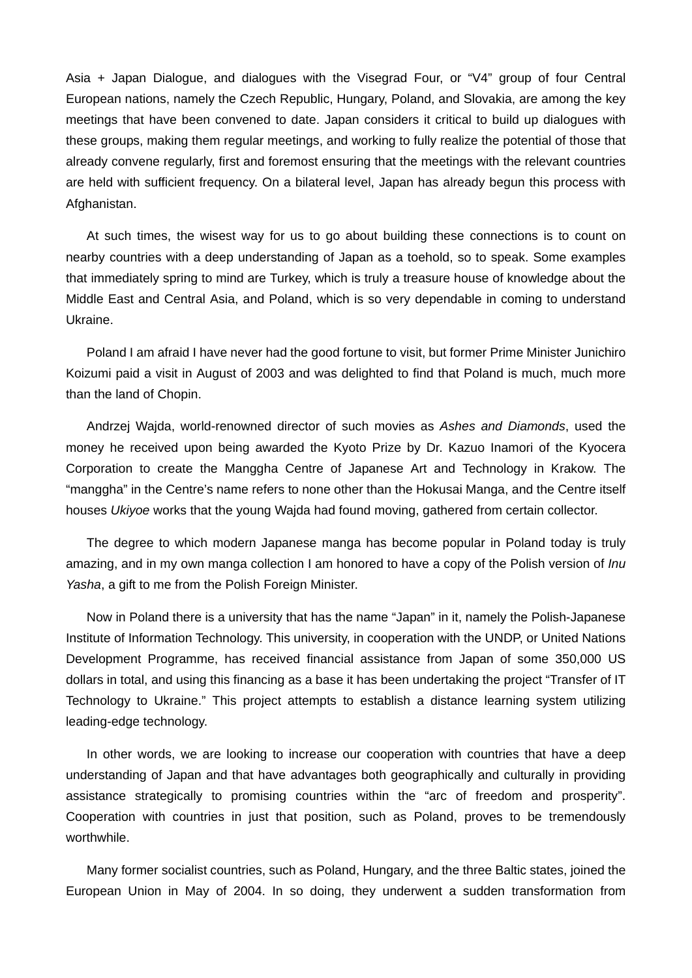Asia + Japan Dialogue, and dialogues with the Visegrad Four, or "V4" group of four Central European nations, namely the Czech Republic, Hungary, Poland, and Slovakia, are among the key meetings that have been convened to date. Japan considers it critical to build up dialogues with these groups, making them regular meetings, and working to fully realize the potential of those that already convene regularly, first and foremost ensuring that the meetings with the relevant countries are held with sufficient frequency. On a bilateral level, Japan has already begun this process with Afghanistan.

At such times, the wisest way for us to go about building these connections is to count on nearby countries with a deep understanding of Japan as a toehold, so to speak. Some examples that immediately spring to mind are Turkey, which is truly a treasure house of knowledge about the Middle East and Central Asia, and Poland, which is so very dependable in coming to understand Ukraine.

Poland I am afraid I have never had the good fortune to visit, but former Prime Minister Junichiro Koizumi paid a visit in August of 2003 and was delighted to find that Poland is much, much more than the land of Chopin.

Andrzej Wajda, world-renowned director of such movies as *Ashes and Diamonds*, used the money he received upon being awarded the Kyoto Prize by Dr. Kazuo Inamori of the Kyocera Corporation to create the Manggha Centre of Japanese Art and Technology in Krakow. The "manggha" in the Centre's name refers to none other than the Hokusai Manga, and the Centre itself houses *Ukiyoe* works that the young Wajda had found moving, gathered from certain collector.

The degree to which modern Japanese manga has become popular in Poland today is truly amazing, and in my own manga collection I am honored to have a copy of the Polish version of *Inu Yasha*, a gift to me from the Polish Foreign Minister.

Now in Poland there is a university that has the name "Japan" in it, namely the Polish-Japanese Institute of Information Technology. This university, in cooperation with the UNDP, or United Nations Development Programme, has received financial assistance from Japan of some 350,000 US dollars in total, and using this financing as a base it has been undertaking the project "Transfer of IT Technology to Ukraine." This project attempts to establish a distance learning system utilizing leading-edge technology.

In other words, we are looking to increase our cooperation with countries that have a deep understanding of Japan and that have advantages both geographically and culturally in providing assistance strategically to promising countries within the "arc of freedom and prosperity". Cooperation with countries in just that position, such as Poland, proves to be tremendously worthwhile.

Many former socialist countries, such as Poland, Hungary, and the three Baltic states, joined the European Union in May of 2004. In so doing, they underwent a sudden transformation from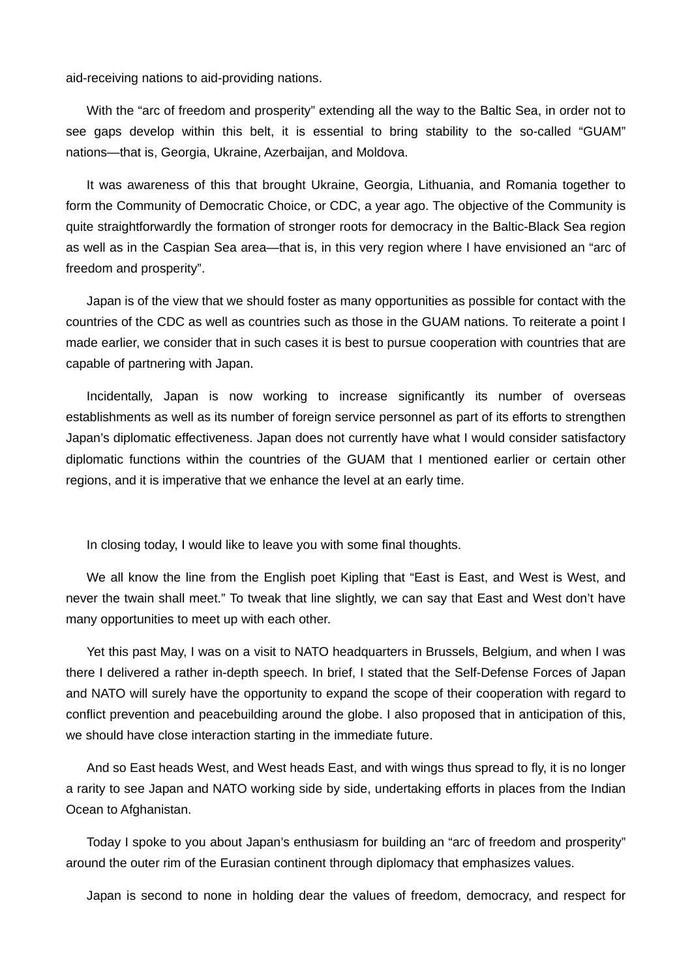aid-receiving nations to aid-providing nations.

With the "arc of freedom and prosperity" extending all the way to the Baltic Sea, in order not to see gaps develop within this belt, it is essential to bring stability to the so-called "GUAM" nations—that is, Georgia, Ukraine, Azerbaijan, and Moldova.

It was awareness of this that brought Ukraine, Georgia, Lithuania, and Romania together to form the Community of Democratic Choice, or CDC, a year ago. The objective of the Community is quite straightforwardly the formation of stronger roots for democracy in the Baltic-Black Sea region as well as in the Caspian Sea area—that is, in this very region where I have envisioned an "arc of freedom and prosperity".

Japan is of the view that we should foster as many opportunities as possible for contact with the countries of the CDC as well as countries such as those in the GUAM nations. To reiterate a point I made earlier, we consider that in such cases it is best to pursue cooperation with countries that are capable of partnering with Japan.

Incidentally, Japan is now working to increase significantly its number of overseas establishments as well as its number of foreign service personnel as part of its efforts to strengthen Japan's diplomatic effectiveness. Japan does not currently have what I would consider satisfactory diplomatic functions within the countries of the GUAM that I mentioned earlier or certain other regions, and it is imperative that we enhance the level at an early time.

In closing today, I would like to leave you with some final thoughts.

We all know the line from the English poet Kipling that "East is East, and West is West, and never the twain shall meet." To tweak that line slightly, we can say that East and West don't have many opportunities to meet up with each other.

Yet this past May, I was on a visit to NATO headquarters in Brussels, Belgium, and when I was there I delivered a rather in-depth speech. In brief, I stated that the Self-Defense Forces of Japan and NATO will surely have the opportunity to expand the scope of their cooperation with regard to conflict prevention and peacebuilding around the globe. I also proposed that in anticipation of this, we should have close interaction starting in the immediate future.

And so East heads West, and West heads East, and with wings thus spread to fly, it is no longer a rarity to see Japan and NATO working side by side, undertaking efforts in places from the Indian Ocean to Afghanistan.

Today I spoke to you about Japan's enthusiasm for building an "arc of freedom and prosperity" around the outer rim of the Eurasian continent through diplomacy that emphasizes values.

Japan is second to none in holding dear the values of freedom, democracy, and respect for